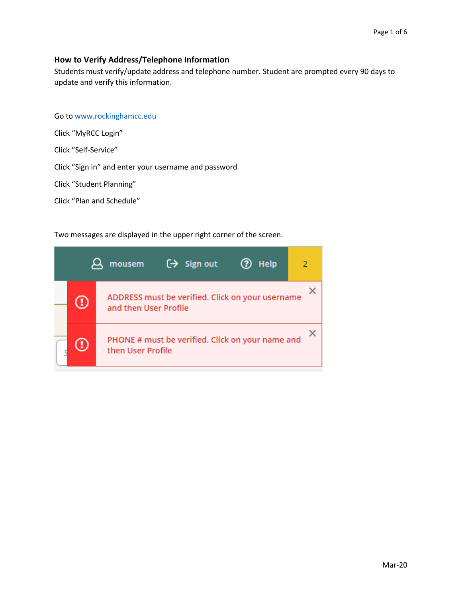#### **How to Verify Address/Telephone Information**

Students must verify/update address and telephone number. Student are prompted every 90 days to update and verify this information.

Go to [www.rockinghamcc.edu](http://www.rockinghamcc.edu/)

Click "MyRCC Login"

Click "Self-Service"

Click "Sign in" and enter your username and password

Click "Student Planning"

Click "Plan and Schedule"

Two messages are displayed in the upper right corner of the screen.

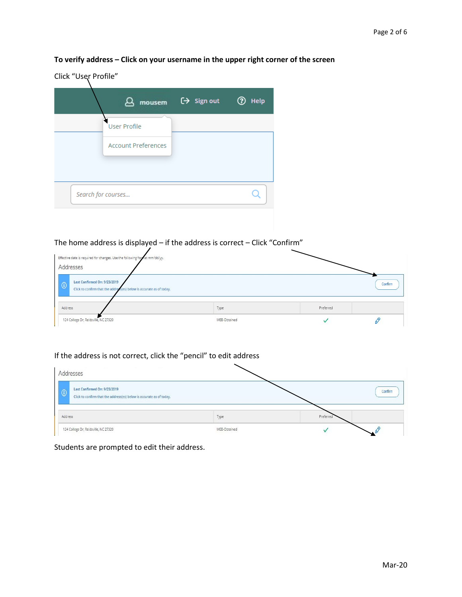| Click "User Profile" |                            |                   |           |
|----------------------|----------------------------|-------------------|-----------|
|                      | mousem                     | $\Theta$ Sign out | ඹ<br>Help |
|                      | User Profile               |                   |           |
|                      | <b>Account Preferences</b> |                   |           |
|                      |                            |                   |           |
|                      | Search for courses         |                   |           |
|                      |                            |                   |           |

## **To verify address – Click on your username in the upper right corner of the screen**

# The home address is displayed – if the address is correct – Click "Confirm"

| Effective date is required for changes. Use the following for hat mm/dd/yy.<br>Addresses                        |              |           |         |
|-----------------------------------------------------------------------------------------------------------------|--------------|-----------|---------|
| Last Confirmed On: 9/23/2019<br>$\odot$<br>Click to confirm that the address(es) below is accurate as of today. |              |           | Confirm |
| Address                                                                                                         | Type         | Preferred |         |
| 124 College Dr, Reidsville, NC 27320                                                                            | WEB-Obtained |           |         |

## If the address is not correct, click the "pencil" to edit address

| Addresses                                                                                                       |              |           |         |
|-----------------------------------------------------------------------------------------------------------------|--------------|-----------|---------|
| Last Confirmed On: 9/23/2019<br>$\odot$<br>Click to confirm that the address(es) below is accurate as of today. |              |           | Confirm |
| Address                                                                                                         | Type         | Preferred |         |
| 124 College Dr, Reidsville, NC 27320                                                                            | WEB-Obtained |           |         |

Students are prompted to edit their address.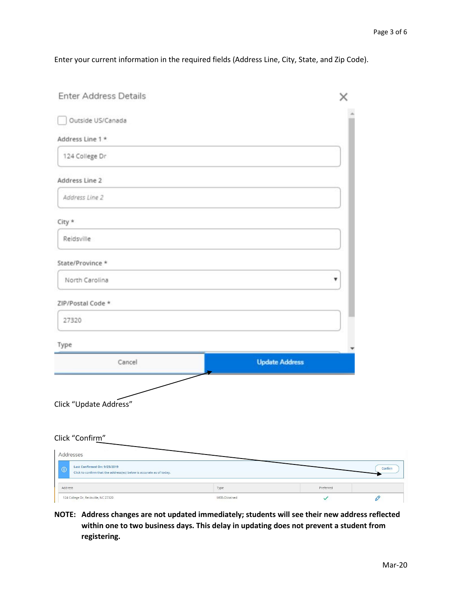Enter your current information in the required fields (Address Line, City, State, and Zip Code).

| <b>Enter Address Details</b>                                                                                    |                       | ×                 |
|-----------------------------------------------------------------------------------------------------------------|-----------------------|-------------------|
| Outside US/Canada                                                                                               |                       |                   |
| Address Line 1 *                                                                                                |                       |                   |
| 124 College Dr                                                                                                  |                       |                   |
| Address Line 2                                                                                                  |                       |                   |
| Address Line 2                                                                                                  |                       |                   |
| City *                                                                                                          |                       |                   |
| Reidsville                                                                                                      |                       |                   |
| State/Province *                                                                                                |                       |                   |
| North Carolina                                                                                                  |                       | ۳                 |
| ZIP/Postal Code *                                                                                               |                       |                   |
| 27320                                                                                                           |                       |                   |
| Type                                                                                                            |                       |                   |
| Cancel                                                                                                          | <b>Update Address</b> |                   |
| Click "Update Address"                                                                                          |                       |                   |
| Click "Confirm"                                                                                                 |                       |                   |
| Addresses                                                                                                       |                       |                   |
| Last Confirmed On: 9/23/2019<br>$\odot$<br>Click to confirm that the address(es) below is accurate as of today. |                       | Confirm           |
| Address                                                                                                         | Type                  | Preferred         |
| 124 College Dr, Reidsville, NC 27320                                                                            | WEB-Obtained          | 0<br>$\checkmark$ |

**NOTE: Address changes are not updated immediately; students will see their new address reflected within one to two business days. This delay in updating does not prevent a student from registering.**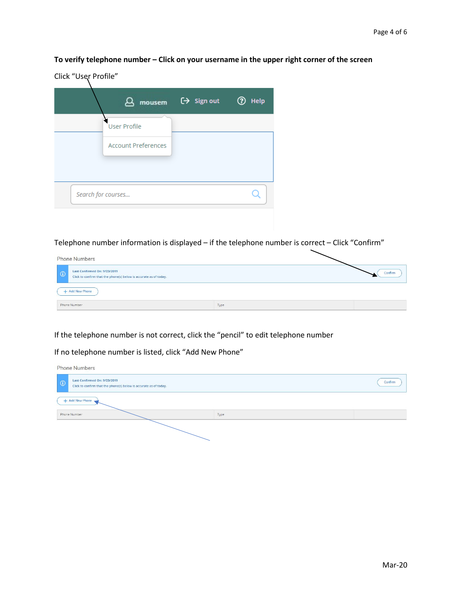## **To verify telephone number – Click on your username in the upper right corner of the screen**

| Click "User Profile" |                            |                                     |             |
|----------------------|----------------------------|-------------------------------------|-------------|
|                      | mousem                     | $\overline{(\rightarrow)}$ Sign out | <b>Help</b> |
|                      | <b>User Profile</b>        |                                     |             |
|                      | <b>Account Preferences</b> |                                     |             |
|                      |                            |                                     |             |
| Search for courses   |                            |                                     |             |

Telephone number information is displayed – if the telephone number is correct – Click "Confirm"



If the telephone number is not correct, click the "pencil" to edit telephone number

If no telephone number is listed, click "Add New Phone"

| <b>Phone Numbers</b> |                                                                                                   |      |         |  |
|----------------------|---------------------------------------------------------------------------------------------------|------|---------|--|
| $\odot$              | Last Confirmed On: 9/23/2019<br>Click to confirm that the phone(s) below is accurate as of today. |      | Confirm |  |
| + Add New Phone      |                                                                                                   |      |         |  |
|                      | Phone Number                                                                                      | Type |         |  |
|                      |                                                                                                   |      |         |  |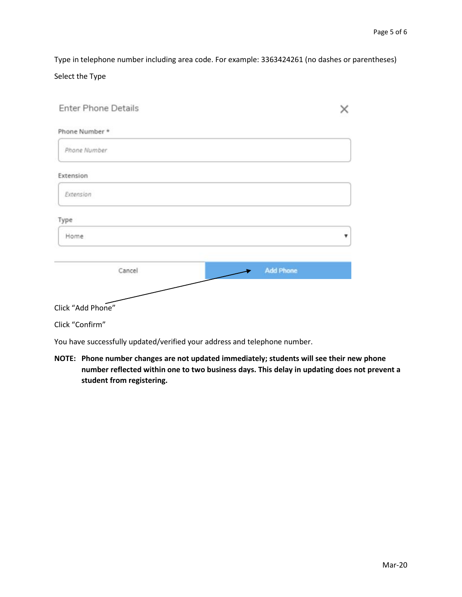Type in telephone number including area code. For example: 3363424261 (no dashes or parentheses) Select the Type

| <b>Enter Phone Details</b> |                  |   |
|----------------------------|------------------|---|
| Phone Number *             |                  |   |
| Phone Number               |                  |   |
| Extension                  |                  |   |
| Extension                  |                  |   |
| Type                       |                  |   |
| Home                       |                  | ▼ |
| Cancel                     | <b>Add Phone</b> |   |
| Click "Add Phone"          |                  |   |
| Click "Confirm"            |                  |   |

You have successfully updated/verified your address and telephone number.

**NOTE: Phone number changes are not updated immediately; students will see their new phone number reflected within one to two business days. This delay in updating does not prevent a student from registering.**